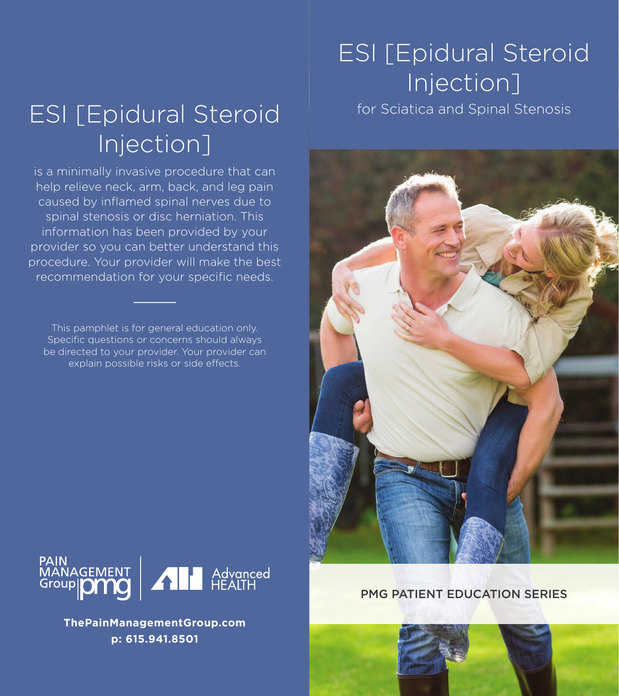### ESI [Epidural Steroid Injection]

## ESI [Epidural Steroid Injection]

is a minimally invasive procedure that can help relieve neck, arm, back, and leg pain caused by inflamed spinal nerves due to spinal stenosis or disc herniation. This information has been provided by your provider so you can better understand this procedure. Your provider will make the best recommendation for your specific needs.

This pamphlet is for general education only. Specific questions or concerns should always be directed to your provider. Your provider can explain possible risks or side effects.

for Sciatica and Spinal Stenosis





**ThePainManagementGroup.com p: 615.941.8501**

#### PMG PATIENT EDUCATION SERIES